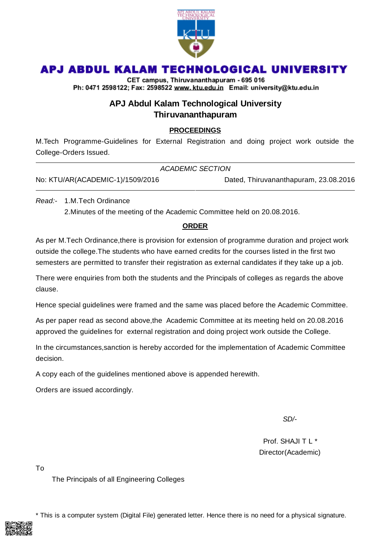

# APJ ABDUL KALAM TECHNOLOGICAL UNIVERSITY

CET campus, Thiruvananthapuram - 695 016 Ph: 0471 2598122; Fax: 2598522 www.ktu.edu.in Email: university@ktu.edu.in

### **APJ Abdul Kalam Technological University Thiruvananthapuram**

#### **PROCEEDINGS**

M.Tech Programme-Guidelines for External Registration and doing project work outside the College-Orders Issued.

|                                  | ACADEMIC SECTION                      |  |
|----------------------------------|---------------------------------------|--|
| No: KTU/AR(ACADEMIC-1)/1509/2016 | Dated, Thiruvananthapuram, 23.08.2016 |  |

*Read:-* 1.M.Tech Ordinance

2.Minutes of the meeting of the Academic Committee held on 20.08.2016.

#### **ORDER**

As per M.Tech Ordinance,there is provision for extension of programme duration and project work outside the college.The students who have earned credits for the courses listed in the first two semesters are permitted to transfer their registration as external candidates if they take up a job.

There were enquiries from both the students and the Principals of colleges as regards the above clause.

Hence special guidelines were framed and the same was placed before the Academic Committee.

As per paper read as second above,the Academic Committee at its meeting held on 20.08.2016 approved the guidelines for external registration and doing project work outside the College.

In the circumstances,sanction is hereby accorded for the implementation of Academic Committee decision.

A copy each of the guidelines mentioned above is appended herewith.

Orders are issued accordingly.

*SD/-*

Prof. SHAJI T L \* Director(Academic)

To

The Principals of all Engineering Colleges

\* This is a computer system (Digital File) generated letter. Hence there is no need for a physical signature.

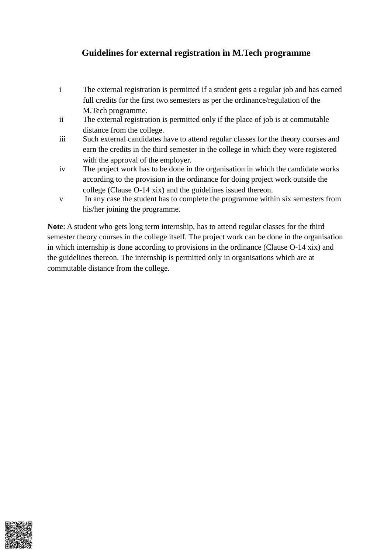## **Guidelines for external registration in M.Tech programme**

- i The external registration is permitted if a student gets a regular job and has earned full credits for the first two semesters as per the ordinance/regulation of the M.Tech programme.
- ii The external registration is permitted only if the place of job is at commutable distance from the college.
- iii Such external candidates have to attend regular classes for the theory courses and earn the credits in the third semester in the college in which they were registered with the approval of the employer.
- iv The project work has to be done in the organisation in which the candidate works according to the provision in the ordinance for doing project work outside the college (Clause O-14 xix) and the guidelines issued thereon.
- v In any case the student has to complete the programme within six semesters from his/her joining the programme.

**Note**: A student who gets long term internship, has to attend regular classes for the third semester theory courses in the college itself. The project work can be done in the organisation in which internship is done according to provisions in the ordinance (Clause O-14 xix) and the guidelines thereon. The internship is permitted only in organisations which are at commutable distance from the college.